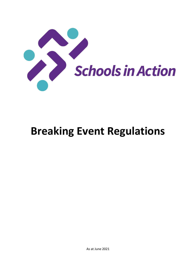

# Breaking Event Regulations

As at June 2021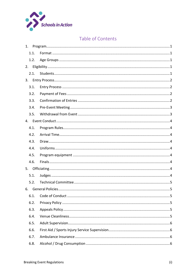

# Table of Contents

| 1.   |  |
|------|--|
| 1.1. |  |
| 1.2. |  |
| 2.   |  |
| 2.1. |  |
| 3.   |  |
| 3.1. |  |
| 3.2. |  |
| 3.3. |  |
| 3.4. |  |
| 3.5. |  |
|      |  |
| 4.1. |  |
| 4.2. |  |
| 4.3. |  |
| 4.4. |  |
| 4.5. |  |
| 4.6. |  |
|      |  |
| 5.1. |  |
| 5.2. |  |
| 6.   |  |
| 6.1. |  |
| 6.2. |  |
| 6.3. |  |
| 6.4. |  |
| 6.5. |  |
| 6.6. |  |
| 6.7. |  |
| 6.8. |  |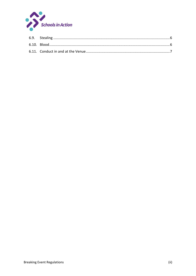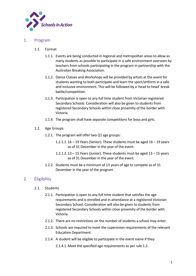

### 1. Program

- 1.1. Format
	- 1.1.1. Events are being conducted in regional and metropolitan areas to allow as many students as possible to participate in a safe environment overseen by teachers from schools participating in the program in partnership with the Australian Breaking Association.
	- 1.1.2. Dance Classes and Workshops will be provided by artists at the event for students wanting to both participate and learn the sport/artform in a safe and inclusive environment. This will be followed by a 'head to head' break battle/competition.
	- 1.1.3. Participation is open to any full time student from Victorian registered Secondary Schools. Consideration will also be given to students from registered Secondary Schools within close proximity of the border with Victoria.
	- 1.1.4. The program shall have separate competitions for boys and girls.
- 1.2. Age Groups
	- 1.2.1. The program will offer two (2) age groups:
		- 1.2.1.1. 16 19 Years (Senior): These students must be aged 16 19 years as of 31 December in the year of the event.
		- 1.2.1.2.  $13 15$  Years (Junior): These students must be aged  $13 15$  years as of 31 December in the year of the event.
	- 1.2.2. Students must be a minimum of 13 years of age to compete as of 31 December in the year of the program .

# 2. Eligibility

- 2.1. Students
	- 2.1.1. Participation is open to any full time student that satisfies the age requirements and is enrolled and in attendance at a registered Victorian Secondary School. Consideration will also be given to students from registered Secondary Schools within close proximity of the border with Victoria.
	- 2.1.2. There are no restrictions on the number of students a school may enter.
	- 2.1.3. Schools are required to meet the supervision requirements of the relevant Education Department.
	- 2.1.4. A student will be eligible to participate in the event name if they:
		- 2.1.4.1. Meet the specified age requirements as per rule 1.2.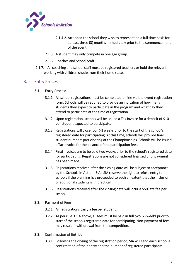

- 2.1.4.2. Attended the school they wish to represent on a full time basis for at least three (3) months immediately prior to the commencement of the event.
- 2.1.5. A student may only compete in one age group.
- 2.1.6. Coaches and School Staff
- 2.1.7. All coaching and school staff must be registered teachers or hold the relevant working with children checks from their home state.

#### 3. Entry Process

- 3.1. Entry Process
	- 3.1.1. All school registrations must be completed online via the event registration form. Schools will be required to provide an indication of how many students they expect to participate in the program and what day they attend to participate at the time of registration.
	- 3.1.2. Upon registration, schools will be issued a Tax Invoice for a deposit of \$10 per student expected to participate.
	- 3.1.3. Registrations will close four (4) weeks prior to the start of the school's registered date for participating. At this time, schools will provide final student numbers participating at the Championships. Schools will be issued a Tax Invoice for the balance of the participation fees.
	- 3.1.4. Final invoices are to be paid two weeks prior to the school's registered date for participating. Registrations are not considered finalised until payment has been made.
	- 3.1.5. Registrations received after the closing date will be subject to acceptance by the Schools in Action (SIA). SIA reserve the right to refuse entry to schools if the planning has proceeded to such an extent that the inclusion of additional students is impractical.
	- 3.1.6. Registrations received after the closing date will incur a \$50 late fee per school.
- 3.2. Payment of Fees
	- 3.2.1. All registrations carry a fee per student.
	- 3.2.2. As per rule 3.1.4 above, all fees must be paid in full two (2) weeks prior to start of the schools registered date for participating. Non-payment of fees may result in withdrawal from the competition.
- 3.3. Confirmation of Entries
	- 3.3.1. Following the closing of the registration period, SIA will send each school a confirmation of their entry and the number of registered participants.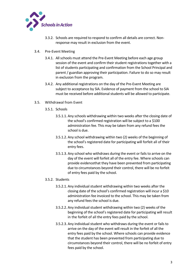

- 3.3.2. Schools are required to respond to confirm all details are correct. Nonresponse may result in exclusion from the event.
- 3.4. Pre-Event Meeting
	- 3.4.1. All schools must attend the Pre-Event Meeting before each age group session of the event and confirm their student registrations together with a list of students participating and confirmation from the School Principal and parent / guardian approving their participation. Failure to do so may result in exclusion from the program.
	- 3.4.2. Any additional registrations on the day of the Pre-Event Meeting are subject to acceptance by SIA. Evidence of payment from the school to SIA must be received before additional students will be allowed to participate.
- 3.5. Withdrawal from Event
	- 3.5.1. Schools
		- 3.5.1.1. Any schools withdrawing within two weeks after the closing date of the school's confirmed registration will be subject to a \$100 administration fee. This may be taken from any refund fees the school is due.
		- 3.5.1.2. Any school withdrawing within two (2) weeks of the beginning of the school's registered date for participating will forfeit all of their entry fees.
		- 3.5.1.3. Any school who withdraws during the event or fails to arrive on the day of the event will forfeit all of the entry fee. Where schools can provide evidence that they have been prevented from participating due to circumstances beyond their control, there will be no forfeit of entry fees paid by the school.

#### 3.5.2. Students

- 3.5.2.1. Any individual student withdrawing within two weeks after the closing date of the school's confirmed registration will incur a \$10 administration fee invoiced to the school. This may be taken from any refund fees the school is due.
- 3.5.2.2. Any individual student withdrawing within two (2) weeks of the beginning of the school's registered date for participating will result in the forfeit of all the entry fees paid by the school.
- 3.5.2.3. Any individual student who withdraws during the event or fails to arrive on the day of the event will result in the forfeit of all the entry fees paid by the school. Where schools can provide evidence that the student has been prevented from participating due to circumstances beyond their control, there will be no forfeit of entry fees paid by the school.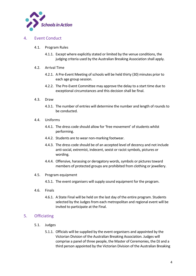

#### 4. Event Conduct

- 4.1. Program Rules
	- 4.1.1. Except where explicitly stated or limited by the venue conditions, the judging criteria used by the Australian Breaking Association shall apply.
- 4.2. Arrival Time
	- 4.2.1. A Pre-Event Meeting of schools will be held thirty (30) minutes prior to each age group session.
	- 4.2.2. The Pre-Event Committee may approve the delay to a start time due to exceptional circumstances and this decision shall be final.
- 4.3. Draw
	- 4.3.1. The number of entries will determine the number and length of rounds to be conducted.
- 4.4. Uniforms
	- 4.4.1. The dress code should allow for 'free movement' of students whilst performing.
	- 4.4.2. Students are to wear non-marking footwear.
	- 4.4.3. The dress code should be of an accepted level of decency and not include anti-social, extremist, indecent, sexist or racist symbols, pictures or wording.
	- 4.4.4. Offensive, harassing or derogatory words, symbols or pictures toward members of protected groups are prohibited from clothing or jewellery.
- 4.5. Program equipment
	- 4.5.1. The event organisers will supply sound equipment for the program.
- 4.6. Finals
	- 4.6.1. A State Final will be held on the last day of the entire program. Students selected by the Judges from each metropolitan and regional event will be invited to participate at the Final.

# 5. Officiating

- 5.1. Judges
	- 5.1.1. Officials will be supplied by the event organisers and appointed by the Victorian Division of the Australian Breaking Association. Judges will comprise a panel of three people, the Master of Ceremonies, the DJ and a third person appointed by the Victorian Division of the Australian Breaking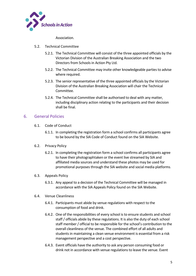

Association.

- 5.2. Technical Committee
	- 5.2.1. The Technical Committee will consist of the three appointed officials by the Victorian Division of the Australian Breaking Association and the two Directors from Schools in Action Pty Ltd.
	- 5.2.2. The Technical Committee may invite other knowledgeable parties to advise where required.
	- 5.2.3. The senior representative of the three appointed officials by the Victorian Division of the Australian Breaking Association will chair the Technical Committee.
	- 5.2.4. The Technical Committee shall be authorised to deal with any matter, including disciplinary action relating to the participants and their decision shall be final.

## 6. General Policies

- 6.1. Code of Conduct
	- 6.1.1. In completing the registration form a school confirms all participants agree to be bound by the SIA Code of Conduct found on the SIA Website.
- 6.2. Privacy Policy
	- 6.2.1. In completing the registration form a school confirms all participants agree to have their photograph taken or the event live streamed by SIA and affiliated media sources and understand these photos may be used for promotional purposes through the SIA website and social media platforms.
- 6.3. Appeals Policy
	- 6.3.1. Any appeal to a decision of the Technical Committee will be managed in accordance with the SIA Appeals Policy found on the SIA Website.
- 6.4. Venue Cleanliness
	- 6.4.1. Participants must abide by venue regulations with respect to the consumption of food and drink.
	- 6.4.2. One of the responsibilities of every school is to ensure students and school staff / officials abide by these regulations. It is also the duty of each school staff member / official to be responsible for the school's contribution to the overall cleanliness of the venue. The combined effort of all adults and students in maintaining a clean venue environment is essential from a risk management perspective and a cost perspective.
	- 6.4.3. Event officials have the authority to ask any person consuming food or drink not in accordance with venue regulations to leave the venue. Event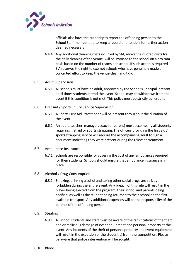

officials also have the authority to report the offending person to the School Staff member and to keep a record of offenders for further action if deemed necessary.

- 6.4.4. Any additional cleaning costs incurred by SIA, above the quoted costs for the daily cleaning of the venue, will be invoiced to the school on a pro rata basis based on the number of teams per school. If such action is required SIA reserves the right to exempt schools who have genuinely made a concerted effort to keep the venue clean and tidy.
- 6.5. Adult Supervision
	- 6.5.1. All schools must have an adult, approved by the School's Principal, present at all times students attend the event. School may be withdrawn from the event if this condition is not met. This policy must be strictly adhered to.
- 6.6. First Aid / Sports Injury Service Supervision
	- 6.6.1. A Sports First Aid Practitioner will be present throughout the duration of the event.
	- 6.6.2. An adult (teacher, manager, coach or parent) must accompany all students requiring first aid or sports strapping. The officers providing the first aid / sports strapping service will require the accompanying adult to sign a document indicating they were present during the relevant treatment.
- 6.7. Ambulance Insurance
	- 6.7.1. Schools are responsible for covering the cost of any ambulances required for their students. Schools should ensure that ambulance insurance is in place.
- 6.8. Alcohol / Drug Consumption
	- 6.8.1. Smoking, drinking alcohol and taking other social drugs are strictly forbidden during the entire event. Any breach of this rule will result in the player being ejected from the program, their school and parents being notified, as well as the student being returned to their school on the first available transport. Any additional expenses will be the responsibility of the parents of the offending person.
- 6.9. Stealing
	- 6.9.1. All school students and staff must be aware of the ramifications of the theft and or malicious damage of event equipment and personal property at this event. Any incidents of the theft of personal property and event equipment will result in the expulsion of the student(s) from the competition. Please be aware that police intervention will be sought.
- 6.10. Blood